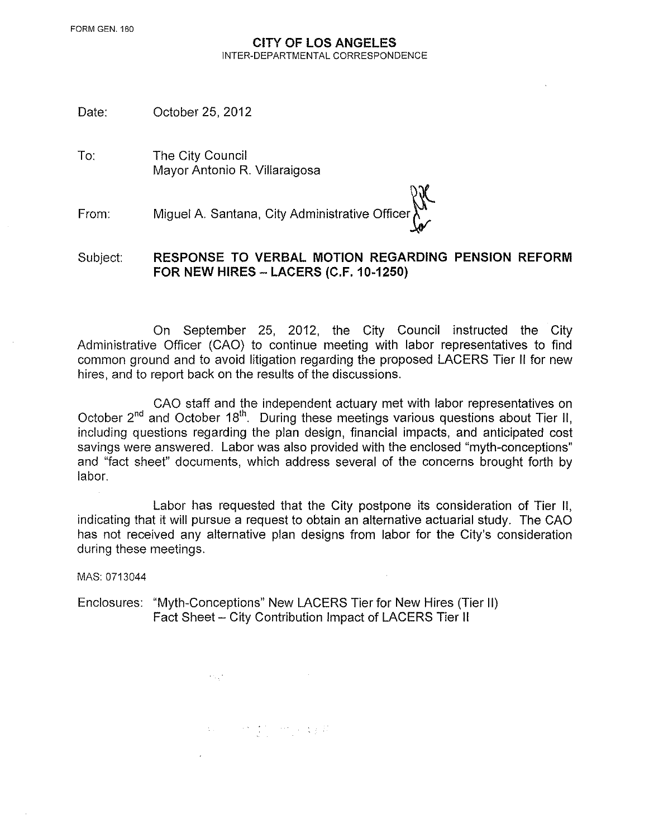#### CITY **OF LOS ANGELES**  INTER-DEPARTMENTAL CORRESPONDENCE

Date: October 25, 2012

To: The City Council Mayor Antonio R. Villaraigosa

From: Miguel A. Santana, City Administrative Officer $\bigwedge^{\bullet}$ 

Subject: **RESPONSE TO VERBAL MOTION REGARDING PENSION REFORM FOR NEW HIRES- LACERS (C.F. 10-1250)** 

On September 25, 2012, the City Council instructed the City Administrative Officer (CAO) to continue meeting with labor representatives to find common ground and to avoid litigation regarding the proposed LAGERS Tier II for new hires, and to report back on the results of the discussions.

CAO staff and the independent actuary met with labor representatives on October 2<sup>nd</sup> and October 18<sup>th</sup>. During these meetings various questions about Tier II, including questions regarding the plan design, financial impacts, and anticipated cost savings were answered. Labor was also provided with the enclosed "myth-conceptions" and "fact sheet" documents, which address several of the concerns brought forth by labor.

Labor has requested that the City postpone its consideration of Tier II, indicating that it will pursue a request to obtain an alternative actuarial study. The CAO has not received any alternative plan designs from labor for the City's consideration during these meetings.

MAS: 0713044

Enclosures: "Myth-Conceptions" New LAGERS Tier for New Hires (Tier II) Fact Sheet- City Contribution Impact of LAGERS Tier II

 $\label{eq:3.1} \Omega_{\rm eff} = -\frac{1}{2} \sum_{\alpha} \frac{1}{\alpha} \sum_{\alpha} \frac{1}{\alpha} \sum_{\alpha} \frac{1}{\alpha} \sum_{\alpha} \frac{1}{\alpha} \sum_{\alpha} \frac{1}{\alpha} \frac{1}{\alpha} \frac{1}{\alpha} \frac{1}{\alpha} \frac{1}{\alpha} \frac{1}{\alpha} \frac{1}{\alpha} \frac{1}{\alpha} \frac{1}{\alpha} \frac{1}{\alpha} \frac{1}{\alpha} \frac{1}{\alpha} \frac{1}{\alpha} \frac{1}{\alpha} \frac{1}{\alpha} \frac{1}{\alpha} \frac{1}{$ 

 $\alpha_{\rm{max}}=100$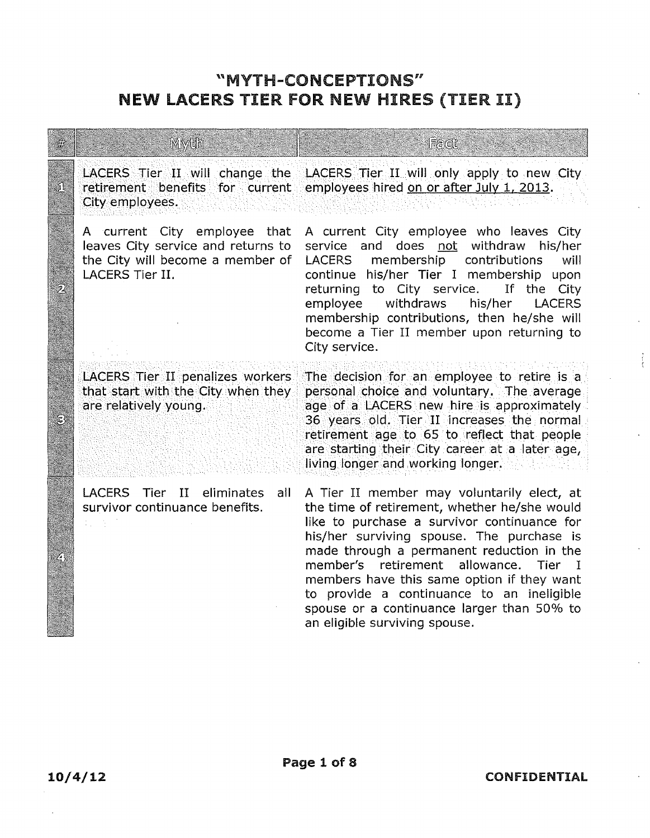# ''MYTH-CONCEPTIONS" NEW LACERS TIER FOR NEW HIRES (TIER II)

|   | Mydh                                                                                                                      | Fact                                                                                                                                                                                                                                                                                                                                                                                                                                                                                |
|---|---------------------------------------------------------------------------------------------------------------------------|-------------------------------------------------------------------------------------------------------------------------------------------------------------------------------------------------------------------------------------------------------------------------------------------------------------------------------------------------------------------------------------------------------------------------------------------------------------------------------------|
|   | LACERS Tier II will change the<br>retirement benefits for current<br>City employees.                                      | LACERS Tier II will only apply to new City<br>employees hired on or after July 1, 2013.                                                                                                                                                                                                                                                                                                                                                                                             |
| ワ | A current City employee that<br>leaves City service and returns to<br>the City will become a member of<br>LACERS Tier II. | A current City employee who leaves City<br>service and does not withdraw<br>his/her<br>membership<br>contributions<br><b>LACERS</b><br>will<br>continue his/her Tier I membership<br>upon<br>to City service.<br>If the<br>returning<br>City<br>withdraws<br>employee<br>his/her<br><b>LACERS</b><br>membership contributions, then he/she will<br>become a Tier II member upon returning to<br>City service.                                                                       |
|   | LACERS Tier II penalizes workers<br>that start with the City when they<br>are relatively young.                           | The decision for an employee to retire is a<br>personal choice and voluntary. The average<br>age of a LACERS new hire is approximately<br>36 years old. Tier II increases the normal<br>retirement age to 65 to reflect that people<br>are starting their City career at a later age,<br>living longer and working longer.                                                                                                                                                          |
|   | <b>LACERS</b><br>II<br>Tier<br>eliminates<br>all<br>survivor continuance benefits.                                        | A Tier II member may voluntarily elect, at<br>the time of retirement, whether he/she would<br>like to purchase a survivor continuance for<br>his/her surviving spouse. The purchase is<br>made through a permanent reduction in the<br>member's retirement<br>allowance.<br><b>Tier</b><br>$\blacksquare$<br>members have this same option if they want<br>to provide a continuance to an ineligible<br>spouse or a continuance larger than 50% to<br>an eligible surviving spouse. |

**Books Company**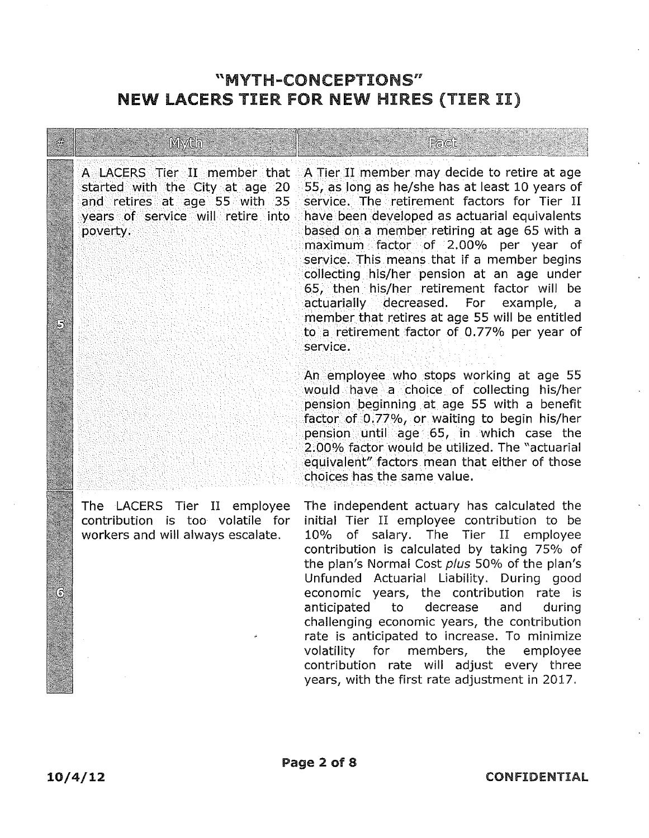#### "MYTH-CONCEPTIONS" NEW lACERS TIER FOR NEW HIRES (TIER II)

. . . ~ .

Myth

A LACERS Tier II member that A Tier II member may decide to retire at age<br>started with the City at age 20 55, as long as he/she has at least 10 years of 55, as long as he/she has at least 10 years of and retires at age 55 with 35 service. The retirement factors for Tier II<br>years of service will retire into have been developed as actuarial equivalents have been developed as actuarial equivalents povert,y. ·· .·. baseq ona member retiring at age 65 with a maximum.· factor of 2.00% per year of . service. This means that if a member begins collecting his/her pension at an age under 65, then his/her retirement factor will be actuarially decreased. For example, a member that retires at age 55 will be entitled to a retirement factor of 0. 77% per year of service.

Fact

An employee who stops working at age 55 would have a choice of collecting his/her pension beginning at age 55 with a benefit factor of  $0.77\%$ , or waiting to begin his/her • pension until age· 65, in which case the 2:00% factor would be utilized. The "actuarial equivalent" factors mean that either of those choices has the same value.

The LACERS Tier II employee contribution is too volatile for workers and will always escalate.

The independent actuary has calculated the initial Tier II employee contribution to be 10% of salary. The Tier II employee contribution is calculated by taking 75% of the plan's Normal Cost plus 50% of the plan's Unfunded Actuarial Liability. During good economic years, the contribution rate is anticipated to decrease and during challenging economic years, the contribution rate is anticipated to increase. To minimize volatility for members, the employee contribution rate will adjust every three years, with the first rate adjustment in 2017.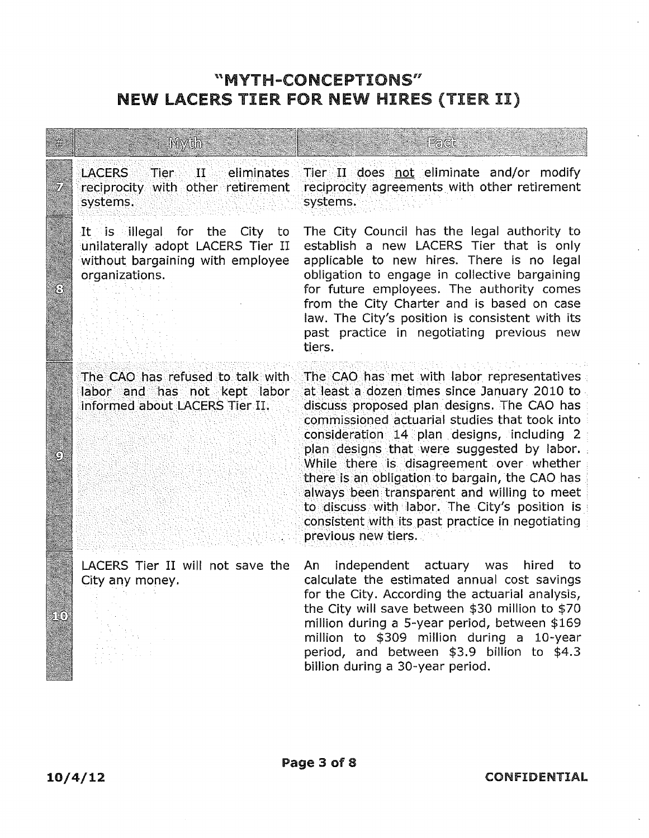## "MYTH-CONCEPTIONS" NEW LACERS TIER FOR NEW HIRES (TIER II)

| <b>Myth</b>                                                                                                                 | Falcit                                                                                                                                                                                                                                                                                                                                                                                                                                                                                                                                                         |
|-----------------------------------------------------------------------------------------------------------------------------|----------------------------------------------------------------------------------------------------------------------------------------------------------------------------------------------------------------------------------------------------------------------------------------------------------------------------------------------------------------------------------------------------------------------------------------------------------------------------------------------------------------------------------------------------------------|
| <b>LACERS</b><br>$\blacksquare$ II $\blacksquare$ eliminates<br>Tier<br>reciprocity with other retirement<br>systems.       | Tier II does not eliminate and/or modify<br>reciprocity agreements with other retirement<br>systems.                                                                                                                                                                                                                                                                                                                                                                                                                                                           |
| It is illegal for the<br>City to<br>unilaterally adopt LACERS Tier II<br>without bargaining with employee<br>organizations. | The City Council has the legal authority to<br>establish a new LACERS Tier that is only<br>applicable to new hires. There is no legal<br>obligation to engage in collective bargaining<br>for future employees. The authority comes<br>from the City Charter and is based on case<br>law. The City's position is consistent with its<br>past practice in negotiating previous new<br>tiers.                                                                                                                                                                    |
| The CAO has refused to talk with<br>labor and has not kept labor<br>informed about LACERS Tier II.                          | The CAO has met with labor representatives<br>at least a dozen times since January 2010 to<br>discuss proposed plan designs. The CAO has<br>commissioned actuarial studies that took into<br>consideration 14 plan designs, including 2<br>plan designs that were suggested by labor.<br>While there is disagreement over whether<br>there is an obligation to bargain, the CAO has<br>always been transparent and willing to meet<br>to discuss with labor. The City's position is<br>consistent with its past practice in negotiating<br>previous new tiers. |
| LACERS Tier II will not save the<br>City any money.                                                                         | independent actuary was<br>hired to<br>An<br>calculate the estimated annual cost savings<br>for the City. According the actuarial analysis,<br>the City will save between \$30 million to \$70<br>million during a 5-year period, between \$169<br>million to \$309 million during a 10-year<br>period, and between \$3.9 billion to \$4.3<br>billion during a 30-year period.                                                                                                                                                                                 |

<u> Martin Carl Martin Albert (</u>

i<br>S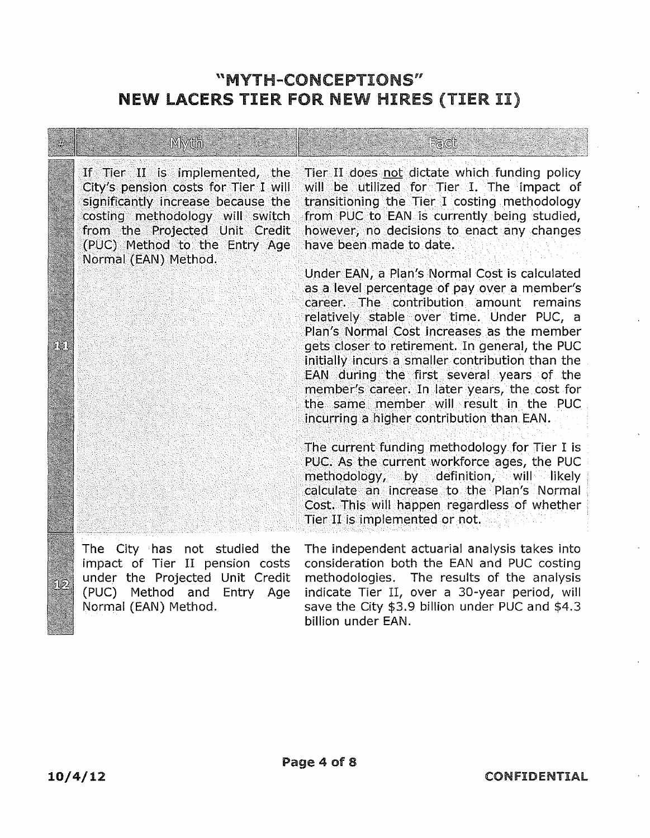### "MYTH-CONCEPTIONS" **NEW LACERS TIER FOR NEW HIRES (TIER II)**

|    | Myth                                                                                                                                                                                                                                       | Fact                                                                                                                                                                                                                                                                                                                                                                                                                                                                                                                                                                                                                                                                                                      |  |
|----|--------------------------------------------------------------------------------------------------------------------------------------------------------------------------------------------------------------------------------------------|-----------------------------------------------------------------------------------------------------------------------------------------------------------------------------------------------------------------------------------------------------------------------------------------------------------------------------------------------------------------------------------------------------------------------------------------------------------------------------------------------------------------------------------------------------------------------------------------------------------------------------------------------------------------------------------------------------------|--|
|    | If Tier II is implemented, the<br>City's pension costs for Tier I will<br>significantly increase because the<br>costing methodology will switch<br>from the Projected Unit Credit<br>(PUC) Method to the Entry Age<br>Normal (EAN) Method. | Tier II does not dictate which funding policy<br>will be utilized for Tier I. The impact of<br>transitioning the Tier I costing methodology<br>from PUC to EAN is currently being studied,<br>however, no decisions to enact any changes<br>have been made to date.                                                                                                                                                                                                                                                                                                                                                                                                                                       |  |
| íb |                                                                                                                                                                                                                                            | Under EAN, a Plan's Normal Cost is calculated<br>as a level percentage of pay over a member's<br>career. The contribution amount remains<br>relatively stable over time. Under PUC, a<br>Plan's Normal Cost increases as the member<br>gets closer to retirement. In general, the PUC<br>initially incurs a smaller contribution than the<br>EAN during the first several years of the<br>member's career. In later years, the cost for<br>the same member will result in the PUC<br>incurring a higher contribution than EAN.<br>The current funding methodology for Tier I is<br>PUC. As the current workforce ages, the PUC<br>$\mathsf{methodology}_{\ell}$ by definition, will likely $\blacksquare$ |  |
|    |                                                                                                                                                                                                                                            | calculate an increase to the Plan's Normal<br>Cost. This will happen regardless of whether<br>Tier II is implemented or not.                                                                                                                                                                                                                                                                                                                                                                                                                                                                                                                                                                              |  |
|    | The City has not studied the<br>imna <i>r</i> t of Tier II nension costs                                                                                                                                                                   | The independent actuarial analysis takes into<br>consideration both the FAN and PHC costing                                                                                                                                                                                                                                                                                                                                                                                                                                                                                                                                                                                                               |  |

Normal (EAN) Method.

impact of Tier II pension costs consideration both the EAN and PUC costing under the Projected Unit Credit methodologies. The results of the analysis (PUC) Method and Entry Age indicate Tier II, over a 30-year period, will save the City \$3.9 billion under PUC and \$4.3 billion under EAN.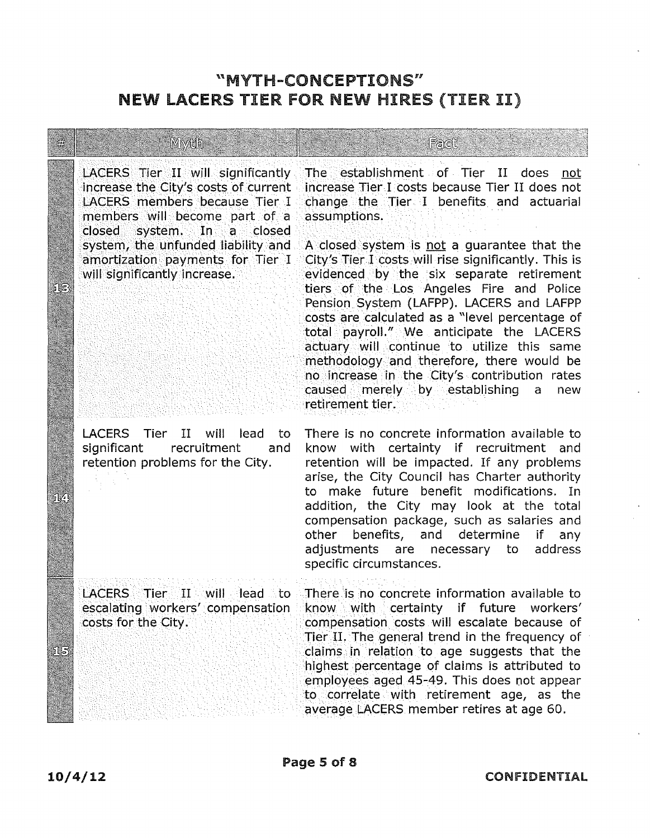#### "MYTH-CONCEPTIONS" NEW lACERS TIER FOR NEW HIRES (TIER II)

# members will become part of a assumptions. closed system. In a closed

**Mwdh** 

•·. ·.

LACERS Tier II will lead to<br>significant recruitment and recruitment and retention problems for the City.

LACERS Tier II will significantly The establishment of Tier II does not increase the City's costs of current increase Tier I costs because Tier II does not increase the City's costs of current increase Tier I costs because Tier II does not<br>LACERS members because Tier I change the Tier I benefits and actuarial change the Tier I benefits and actuarial

Fadi

system, the unfunded liability and A closed system is not a guarantee that the<br>amortization payments for Tier I City's Tier I costs will rise significantly. This is amortization payments for Tier I City's Tier I costs will rise significantly. This is<br>will significantly increase. The evidenced by the six separate retirement evidenced by the six separate retirement tiers ·of the Los Angeles Fire and Police Pension System (LAFPP). LAGERS and LAFPP costs are calculated as a "level percentage of total payroll." We anticipate the LACERS actuary will continue to utilize this same methodology and therefore, there would be no increase in the City's contribution rates caused merely by establishing a new retirement tier.

> There is no concrete information available to know with certainty if recruitment and retention will be impacted. If any problems arise, the City Council has Charter authority to make future benefit modifications. In addition, the City may look at the total compensation package, such as salaries and other benefits, and determine if any adjustments are necessary to address specific circumstances.

LACERS Tier II will lead to There is no concrete information available to escalating workers' compensation know with certainty if future workers' .costs for the (:ity. . compensation costs will escalate because of . Tier IL The general trend in the frequency of claims .In relation to age suggests that the highest percentage of claims is attributed to employees aged 45-49. This does not appear to correlate with retirement age, as the average LACERS member retires at age 60.

 $\mathbb{R}$ 

SV.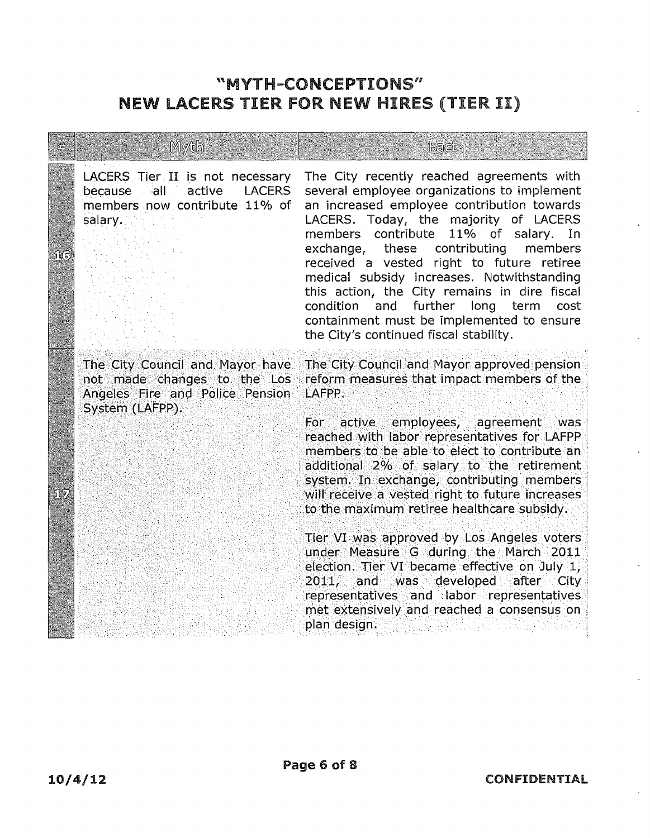# "MYTH-CONCEPTIONS" **NEW LACERS TIER FOR NEW HIRES (TIER II)**

|             | Myda                                                                                                                 | Fact                                                                                                                                                                                                                                                                                                                                                                                                                                                                                                                                                                                                                                                                                                                           |
|-------------|----------------------------------------------------------------------------------------------------------------------|--------------------------------------------------------------------------------------------------------------------------------------------------------------------------------------------------------------------------------------------------------------------------------------------------------------------------------------------------------------------------------------------------------------------------------------------------------------------------------------------------------------------------------------------------------------------------------------------------------------------------------------------------------------------------------------------------------------------------------|
| ្រឹ         | LACERS Tier II is not necessary<br>because all active<br><b>LACERS</b><br>members now contribute 11% of<br>salary.   | The City recently reached agreements with<br>several employee organizations to implement<br>an increased employee contribution towards<br>LACERS. Today, the majority of LACERS<br>members contribute 11% of salary. In<br>exchange, these contributing<br>members<br>received a vested right to future retiree<br>medical subsidy increases. Notwithstanding<br>this action, the City remains in dire fiscal<br>condition and further long term cost<br>containment must be implemented to ensure<br>the City's continued fiscal stability.                                                                                                                                                                                   |
| $5\sqrt{7}$ | The City Council and Mayor have<br>not made changes to the Los<br>Angeles Fire and Police Pension<br>System (LAFPP). | The City Council and Mayor approved pension<br>reform measures that impact members of the<br>LAFPP.<br>For active employees, agreement was<br>reached with labor representatives for LAFPP<br>members to be able to elect to contribute an<br>additional 2% of salary to the retirement<br>system. In exchange, contributing members<br>will receive a vested right to future increases<br>to the maximum retiree healthcare subsidy.<br>Tier VI was approved by Los Angeles voters<br>under Measure G during the March 2011<br>election. Tier VI became effective on July 1,<br>2011, and was developed after City<br>representatives and labor representatives<br>met extensively and reached a consensus on<br>plan design. |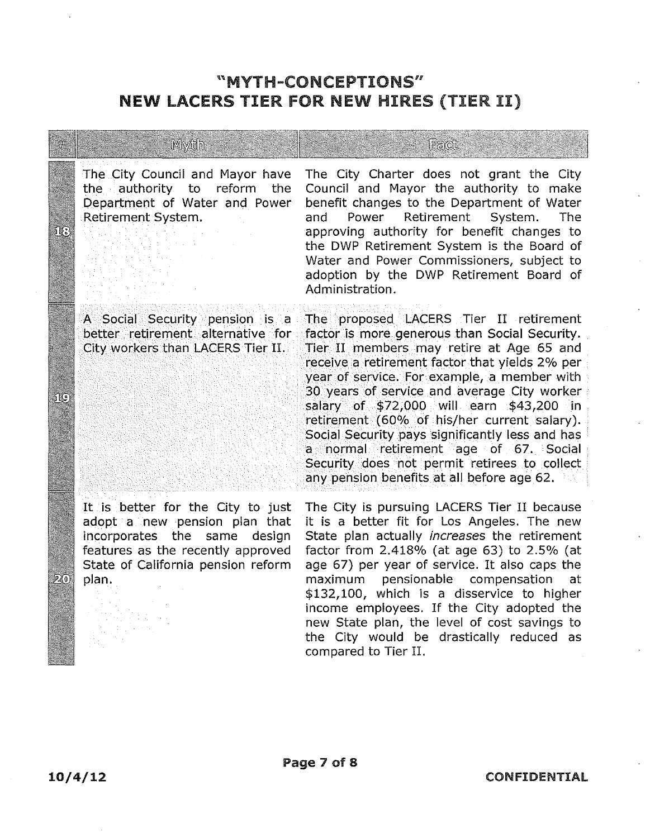### "MYTH-CONCEPTIONS" NEW lACERS TIER FOR NEW HIRES (TIER II)

|     | Myth                                                                                                                                                                                      | Fact                                                                                                                                                                                                                                                                                                                                                                                                                                                                                                                                                                     |
|-----|-------------------------------------------------------------------------------------------------------------------------------------------------------------------------------------------|--------------------------------------------------------------------------------------------------------------------------------------------------------------------------------------------------------------------------------------------------------------------------------------------------------------------------------------------------------------------------------------------------------------------------------------------------------------------------------------------------------------------------------------------------------------------------|
| áЮ  | The City Council and Mayor have<br>the authority to<br>reform the<br>Department of Water and Power<br>Retirement System.                                                                  | The City Charter does not grant the City<br>Council and Mayor the authority to make<br>benefit changes to the Department of Water<br>Retirement System.<br>Power<br>The<br>and<br>approving authority for benefit changes to<br>the DWP Retirement System is the Board of<br>Water and Power Commissioners, subject to<br>adoption by the DWP Retirement Board of<br>Administration.                                                                                                                                                                                     |
| រទេ | A Social Security pension is a<br>better retirement alternative for<br>City workers than LACERS Tier II.                                                                                  | The proposed LACERS Tier II retirement<br>factor is more generous than Social Security.<br>Tier II members may retire at Age 65 and<br>receive a retirement factor that yields 2% per<br>year of service. For example, a member with<br>30 years of service and average City worker<br>salary of \$72,000 will earn \$43,200 in<br>retirement (60% of his/her current salary).<br>Social Security pays significantly less and has<br>a normal retirement age of 67. Social<br>Security does not permit retirees to collect<br>any pension benefits at all before age 62. |
| 20  | It is better for the City to just<br>adopt a new pension plan that<br>incorporates the same<br>design<br>features as the recently approved<br>State of California pension reform<br>plan. | The City is pursuing LACERS Tier II because<br>it is a better fit for Los Angeles. The new<br>State plan actually <i>increases</i> the retirement<br>factor from 2.418% (at age 63) to 2.5% (at<br>age 67) per year of service. It also caps the<br>pensionable compensation<br>maximum<br>at<br>\$132,100, which is a disservice to higher<br>income employees. If the City adopted the                                                                                                                                                                                 |

compared to Tier II.

10/4/12 CONFIDENTIAL

new State plan, the level of cost savings to the City would be drastically reduced as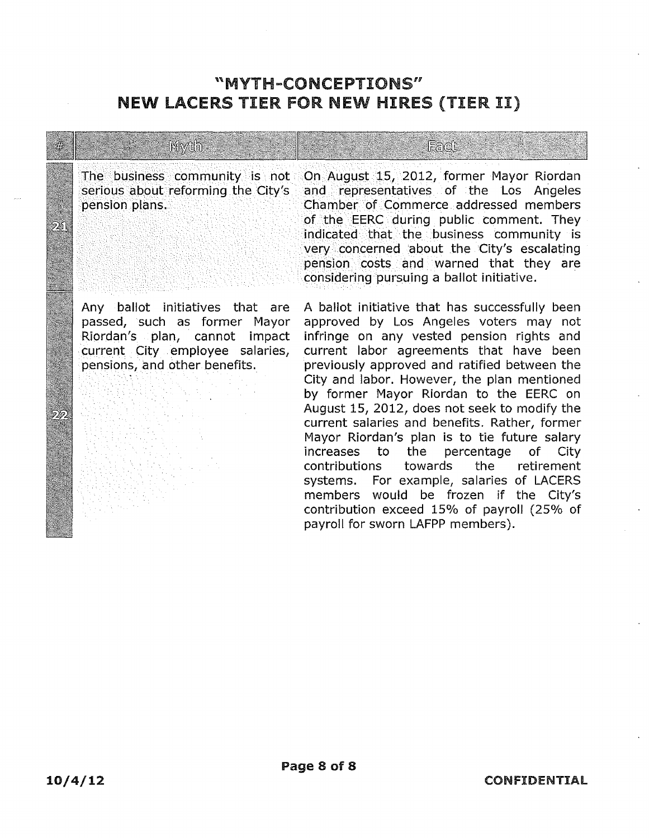#### "MYTH-CONCEPTIONS" NEW LACERS TIER fOR NEW HIRES (TIER II)

Mydh.

Any ballot initiatives that are passed, such as former Mayor Riordan's plan, cannot impact current City employee salaries, pensions, and other benefits.

The business community is not On August 15, 2012, former Mayor Riordan<br>serious about reforming the City's and representatives of the Los Angeles and representatives of the Los Angeles pension plans. · ·.· Chamber of Commerce addressed members of the EERC during public comment. They indicated that the business community is very concerned about the City's escalating pension costs and warned that they are • considering pursuing a ballot initiative.

Fact

A ballot initiative that has successfully been approved by Los Angeles voters may not infringe on any vested pension rights and current labor agreements that have been previously approved and ratified between the City and labor. However, the plan mentioned by former Mayor Riordan to the EERC on August 15, 2012, does not seek to modify the current salaries and benefits. Rather, former Mayor Riordan's plan is to tie future salary increases to the percentage of City contributions towards the retirement systems. For example, salaries of LACERS members would be frozen if the City's contribution exceed 15% of payroll (25% of payroll for sworn LAFPP members).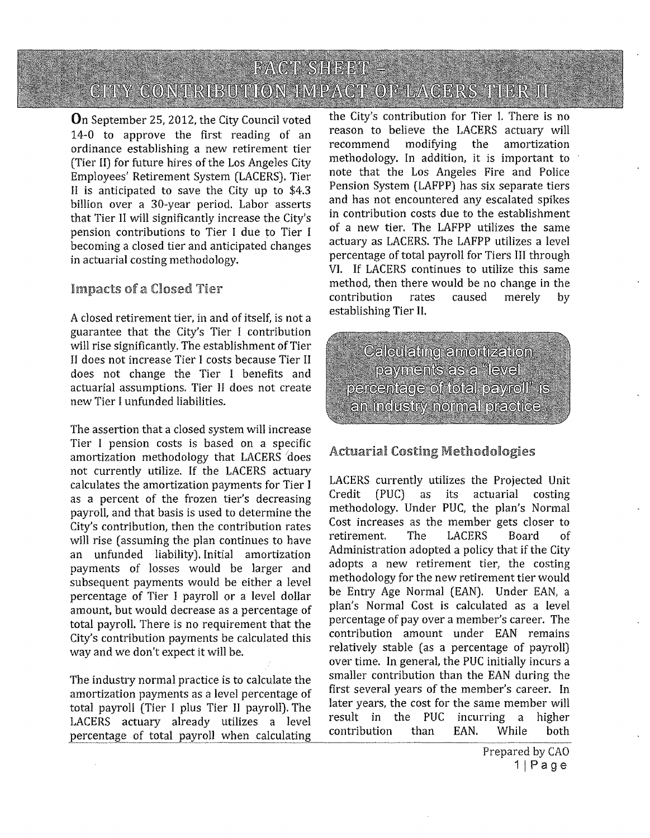On September 25, 2012, the City Council voted 14-0 to approve the first reading of an ordinance establishing a new retirement tier (Tier II) for future hires of the Los Angeles City Employees' Retirement System (LACERS). Tier II is anticipated to save the City up to \$4.3 billion over a 30-year period. Labor asserts that Tier II will significantly increase the City's pension contributions to Tier I due to Tier I becoming a closed tier and anticipated changes in actuarial costing methodology.

#### Impacts of a Closed Tier

A closed retirement tier, in and of itself, is not a guarantee that the City's Tier I contribution will rise significantly. The establishment of Tier II does not increase Tier I costs because Tier II does not change the Tier I benefits and actuarial assumptions. Tier II does not create new Tier I unfunded liabilities.

The assertion that a closed system will increase Tier I pension costs is based on a specific amortization methodology that LACERS *<sup>1</sup> does*  not currently utilize. If the LACERS actuary calculates the amortization payments for Tier I as a percent of the frozen tier's decreasing payroll, and that basis is used to determine the City's contribution, then the contribution rates will rise (assuming the plan continues to have an unfunded liability). Initial amortization payments of losses would be larger and subsequent payments would be either a level percentage of Tier I payroll or a level dollar amount, but would decrease as a percentage of total payroll. There is no requirement that the City's contribution payments be calculated this way and we don't expect it will be.

The industry normal practice is to calculate the amortization payments as a level percentage of total payroll (Tier I plus Tier II payroll). The LACERS actuary already utilizes a level percentage of total payroll when calculating

the City's contribution for Tier L There is no reason to believe the LACERS actuary will recommend modifying the amortization methodology. In addition, it is important to note that the Los Angeles Fire and Police Pension System (LAFPP) has six separate tiers and has not encountered any escalated spikes in contribution costs due to the establishment of a new tier. The LAFPP utilizes the same actuary as LACERS. The LAFPP utilizes a level percentage of total payroll for Tiers III through VI. If LACERS continues to utilize this same method, then there would be no change in the contribution rates caused merely by establishing Tier II.

**Calculating amortization** payments as a "level" percentage of total payroll" is an industry normal practice.

#### Actuarial Costing Methodologies

LACERS currently utilizes the Projected Unit Credit (PUC) as its actuarial costing methodology. Under PUC, the plan's Normal Cost increases as the member gets closer to retirement. The LACERS Board of Administration adopted a policy that if the City adopts a new retirement tier, the costing methodology for the new retirement tier would be Entry Age Normal (EAN). Under EAN, a plan's Normal Cost is calculated as a level percentage of pay over a member's career. The contribution amount under EAN remains relatively stable (as a percentage of payroll) over time. In general, the PUC initially incurs a smaller contribution than the EAN during the first several years of the member's career. In later years, the cost for the same member will result in the PUC incurring a higher contribution than EAN. While both